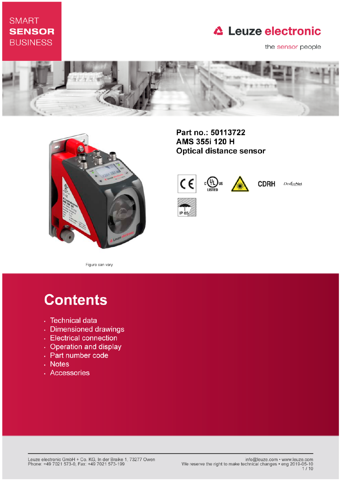### **SMART SENSOR BUSINESS**

### **△ Leuze electronic**

the sensor people





Part no.: 50113722 AMS 355i 120 H **Optical distance sensor** 



**CDRH** DeviceNet

Figure can vary

# **Contents**

- · Technical data
- · Dimensioned drawings
- Electrical connection
- Operation and display
- Part number code
- . Notes
- · Accessories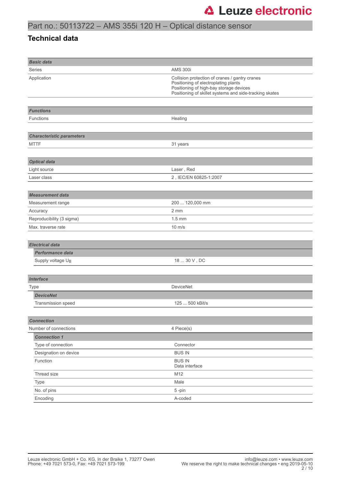### Part no.: 50113722 – AMS 355i 120 H – Optical distance sensor

### **Technical data**

| <b>Basic data</b>                |                                                                                                                                                                                              |  |
|----------------------------------|----------------------------------------------------------------------------------------------------------------------------------------------------------------------------------------------|--|
| Series                           | <b>AMS 300i</b>                                                                                                                                                                              |  |
| Application                      | Collision protection of cranes / gantry cranes<br>Positioning of electroplating plants<br>Positioning of high-bay storage devices<br>Positioning of skillet systems and side-tracking skates |  |
|                                  |                                                                                                                                                                                              |  |
| <b>Functions</b>                 |                                                                                                                                                                                              |  |
| <b>Functions</b>                 | Heating                                                                                                                                                                                      |  |
|                                  |                                                                                                                                                                                              |  |
| <b>Characteristic parameters</b> |                                                                                                                                                                                              |  |
| <b>MTTF</b>                      | 31 years                                                                                                                                                                                     |  |
|                                  |                                                                                                                                                                                              |  |
| <b>Optical data</b>              |                                                                                                                                                                                              |  |
| Light source                     | Laser, Red                                                                                                                                                                                   |  |
| Laser class                      | 2, IEC/EN 60825-1:2007                                                                                                                                                                       |  |
|                                  |                                                                                                                                                                                              |  |
| <b>Measurement data</b>          |                                                                                                                                                                                              |  |
| Measurement range                | 200  120,000 mm                                                                                                                                                                              |  |
| Accuracy                         | 2 mm                                                                                                                                                                                         |  |
| Reproducibility (3 sigma)        | $1.5$ mm                                                                                                                                                                                     |  |
| Max. traverse rate               | $10 \text{ m/s}$                                                                                                                                                                             |  |
|                                  |                                                                                                                                                                                              |  |
| <b>Electrical data</b>           |                                                                                                                                                                                              |  |
| <b>Performance data</b>          |                                                                                                                                                                                              |  |
| Supply voltage U <sub>B</sub>    | $18 \dots 30$ V , DC                                                                                                                                                                         |  |
|                                  |                                                                                                                                                                                              |  |
| <b>Interface</b>                 |                                                                                                                                                                                              |  |
| Type                             | <b>DeviceNet</b>                                                                                                                                                                             |  |
| <b>DeviceNet</b>                 |                                                                                                                                                                                              |  |
| Transmission speed               | 125  500 kBit/s                                                                                                                                                                              |  |
|                                  |                                                                                                                                                                                              |  |
| <b>Connection</b>                |                                                                                                                                                                                              |  |
| Number of connections            | 4 Piece(s)                                                                                                                                                                                   |  |
| <b>Connection 1</b>              |                                                                                                                                                                                              |  |
| Type of connection               | Connector                                                                                                                                                                                    |  |
| Designation on device            | <b>BUS IN</b>                                                                                                                                                                                |  |
| Function                         | <b>BUS IN</b><br>Data interface                                                                                                                                                              |  |
| Thread size                      | M12                                                                                                                                                                                          |  |
| Type                             | Male                                                                                                                                                                                         |  |
| No. of pins                      | 5-pin                                                                                                                                                                                        |  |
| Encoding                         | A-coded                                                                                                                                                                                      |  |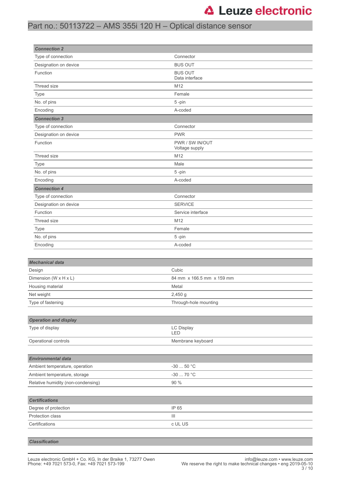### Part no.: 50113722 – AMS 355i 120 H – Optical distance sensor

| <b>Connection 2</b>                |                                   |         |  |
|------------------------------------|-----------------------------------|---------|--|
| Type of connection                 | Connector                         |         |  |
| Designation on device              | <b>BUS OUT</b>                    |         |  |
| Function                           | <b>BUS OUT</b><br>Data interface  |         |  |
| Thread size                        | M12                               |         |  |
| <b>Type</b>                        | Female                            |         |  |
| No. of pins                        | 5-pin                             |         |  |
| Encoding                           | A-coded                           |         |  |
| <b>Connection 3</b>                |                                   |         |  |
| Type of connection                 | Connector                         |         |  |
| Designation on device              | <b>PWR</b>                        |         |  |
| Function                           | PWR / SW IN/OUT<br>Voltage supply |         |  |
| Thread size                        | M12                               |         |  |
| Type                               | Male                              |         |  |
| No. of pins                        | 5-pin                             |         |  |
| Encoding                           | A-coded                           |         |  |
| <b>Connection 4</b>                |                                   |         |  |
| Type of connection                 | Connector                         |         |  |
| Designation on device              | <b>SERVICE</b>                    |         |  |
| Function                           | Service interface                 |         |  |
| Thread size                        | M12                               |         |  |
| Type                               | Female                            |         |  |
| No. of pins                        | 5-pin                             |         |  |
| Encoding                           | A-coded                           |         |  |
|                                    |                                   |         |  |
| <b>Mechanical data</b>             |                                   |         |  |
| Design                             | Cubic                             |         |  |
| Dimension (W x H x L)              | 84 mm x 166.5 mm x 159 mm         |         |  |
| Housing material                   | Metal                             |         |  |
| Net weight                         | 2,450 g                           |         |  |
| Type of fastening                  | Through-hole mounting             |         |  |
|                                    |                                   |         |  |
| <b>Operation and display</b>       |                                   |         |  |
| Type of display                    | LC Display<br>LED                 |         |  |
| Operational controls               | Membrane keyboard                 |         |  |
|                                    |                                   |         |  |
| <b>Environmental data</b>          |                                   |         |  |
| Ambient temperature, operation     | $-30$ 50 °C                       |         |  |
| Ambient temperature, storage       | $-30$ 70 °C                       |         |  |
| Relative humidity (non-condensing) | 90 %                              |         |  |
|                                    |                                   |         |  |
| <b>Certifications</b>              |                                   |         |  |
| Degree of protection               | IP 65                             |         |  |
| Protection class                   | Ш                                 |         |  |
| Certifications                     |                                   | c UL US |  |
|                                    |                                   |         |  |
|                                    |                                   |         |  |

#### *Classification*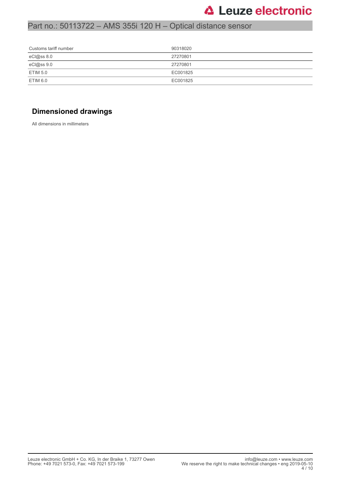### Part no.: 50113722 – AMS 355i 120 H – Optical distance sensor

| Customs tariff number | 90318020 |
|-----------------------|----------|
| eCl@ss 8.0            | 27270801 |
| eCl@ss 9.0            | 27270801 |
| ETIM 5.0              | EC001825 |
| ETIM 6.0              | EC001825 |

### **Dimensioned drawings**

All dimensions in millimeters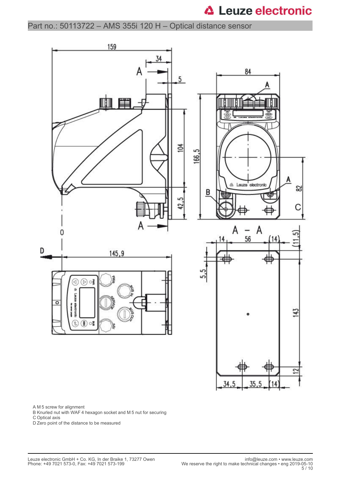Part no.: 50113722 – AMS 355i 120 H – Optical distance sensor



A M 5 screw for alignment

B Knurled nut with WAF 4 hexagon socket and M 5 nut for securing

C Optical axis

D Zero point of the distance to be measured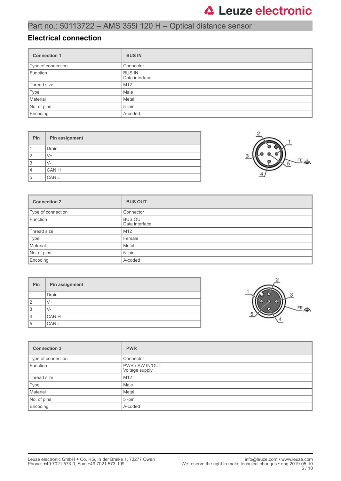### Part no.: 50113722 – AMS 355i 120 H – Optical distance sensor

#### **Electrical connection**

| <b>Connection 1</b> | <b>BUS IN</b>                   |
|---------------------|---------------------------------|
| Type of connection  | Connector                       |
| Function            | <b>BUS IN</b><br>Data interface |
| Thread size         | M <sub>12</sub>                 |
| Type                | Male                            |
| Material            | Metal                           |
| No. of pins         | $5$ -pin                        |
| Encoding            | A-coded                         |

| Pin            | Pin assignment |
|----------------|----------------|
|                | Drain          |
| $\overline{2}$ | V+             |
| 3              | V-             |
| $\overline{4}$ | CAN H          |
| 5              | CAN L          |



| <b>Connection 2</b> | <b>BUS OUT</b>                   |
|---------------------|----------------------------------|
| Type of connection  | Connector                        |
| Function            | <b>BUS OUT</b><br>Data interface |
| Thread size         | M <sub>12</sub>                  |
| Type                | Female                           |
| Material            | Metal                            |
| No. of pins         | $5$ -pin                         |
| Encoding            | A-coded                          |

| Pin            | Pin assignment |
|----------------|----------------|
|                | <b>Drain</b>   |
| $\overline{2}$ | $V +$          |
| 3              | $V -$          |
| $\overline{4}$ | CAN H          |
| 5              | CAN L          |



| <b>Connection 3</b> | <b>PWR</b>                               |
|---------------------|------------------------------------------|
| Type of connection  | Connector                                |
| Function            | <b>PWR / SW IN/OUT</b><br>Voltage supply |
| Thread size         | M <sub>12</sub>                          |
| Type                | Male                                     |
| Material            | Metal                                    |
| No. of pins         | $5$ -pin                                 |
| Encoding            | A-coded                                  |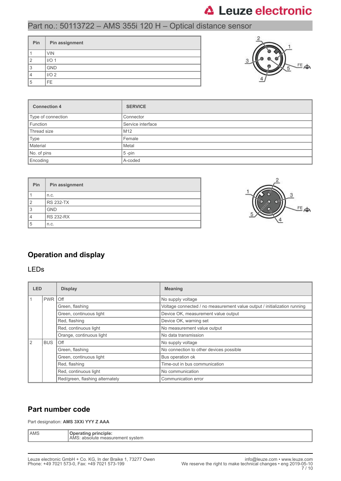### Part no.: 50113722 – AMS 355i 120 H – Optical distance sensor

| Pin | Pin assignment   |
|-----|------------------|
|     | <b>VIN</b>       |
| ◠   | I/O <sub>1</sub> |
| 3   | <b>GND</b>       |
|     | I/O <sub>2</sub> |
| 5   | FE.              |



| <b>Connection 4</b> | <b>SERVICE</b>    |  |
|---------------------|-------------------|--|
| Type of connection  | Connector         |  |
| Function            | Service interface |  |
| Thread size         | M <sub>12</sub>   |  |
| Type                | Female            |  |
| Material            | Metal             |  |
| No. of pins         | $5$ -pin          |  |
| Encoding            | A-coded           |  |

| Pin | Pin assignment   |
|-----|------------------|
|     | n.c.             |
| 12  | <b>RS 232-TX</b> |
| 3   | <b>GND</b>       |
|     | <b>RS 232-RX</b> |
| 5   | n.c.             |



### **Operation and display**

#### LEDs

| <b>LED</b>     |            | <b>Display</b>                  | <b>Meaning</b>                                                           |
|----------------|------------|---------------------------------|--------------------------------------------------------------------------|
|                | <b>PWR</b> | l Off                           | No supply voltage                                                        |
|                |            | Green, flashing                 | Voltage connected / no measurement value output / initialization running |
|                |            | Green, continuous light         | Device OK, measurement value output                                      |
|                |            | Red, flashing                   | Device OK, warning set                                                   |
|                |            | Red, continuous light           | No measurement value output                                              |
|                |            | Orange, continuous light        | No data transmission                                                     |
| $\overline{2}$ | <b>BUS</b> | Off                             | No supply voltage                                                        |
|                |            | Green, flashing                 | No connection to other devices possible                                  |
|                |            | Green, continuous light         | Bus operation ok                                                         |
|                |            | Red, flashing                   | Time-out in bus communication                                            |
|                |            | Red, continuous light           | No communication                                                         |
|                |            | Red/green, flashing alternately | Communication error                                                      |

### **Part number code**

Part designation: **AMS 3XXi YYY Z AAA**

| l AMS<br>-------<br>principle:<br>Jne<br>ratine<br>.<br>easurement system<br>AM.<br>nsolute<br>111<br>ы<br>__ |  |
|---------------------------------------------------------------------------------------------------------------|--|
|---------------------------------------------------------------------------------------------------------------|--|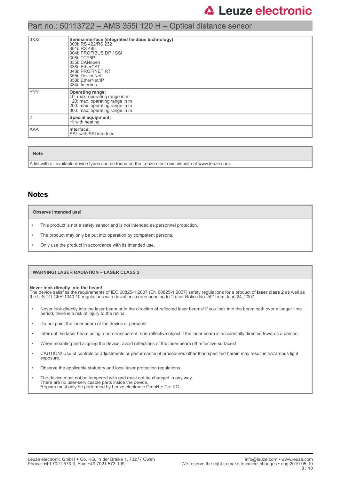### Part no.: 50113722 – AMS 355i 120 H – Optical distance sensor

| l 3XXi | Series/interface (integrated fieldbus technology):<br>300i: RS 422/RS 232<br>301i: RS 485<br>304i: PROFIBUS DP / SSI<br>308i: TCP/IP<br>335i: CANopen<br>338i: EtherCAT<br>348i: PROFINET RT<br>355i: DeviceNet<br>358i: EtherNet/IP<br>384i: Interbus |
|--------|--------------------------------------------------------------------------------------------------------------------------------------------------------------------------------------------------------------------------------------------------------|
| l YYY  | <b>Operating range:</b><br>40: max. operating range in m<br>120: max. operating range in m<br>200: max. operating range in m<br>300: max. operating range in m                                                                                         |
| Ιz     | <b>Special equipment:</b><br>H: with heating                                                                                                                                                                                                           |
| l AAA  | Interface:<br>SSI: with SSI interface                                                                                                                                                                                                                  |

**Note**

A list with all available device types can be found on the Leuze electronic website at www.leuze.com.

#### **Notes**

#### **Observe intended use!**

- This product is not a safety sensor and is not intended as personnel protection.
- The product may only be put into operation by competent persons.
- Only use the product in accordance with its intended use.

#### **WARNING! LASER RADIATION – LASER CLASS 2**

**Never look directly into the beam!** The device satisfies the requirements of IEC 60825-1:2007 (EN 60825-1:2007) safety regulations for a product of **laser class 2** as well as the U.S. 21 CFR 1040.10 regulations with deviations corresponding to "Laser Notice No. 50" from June 24, 2007.

- Never look directly into the laser beam or in the direction of reflected laser beams! If you look into the beam path over a longer time period, there is a risk of injury to the retina.
- Do not point the laser beam of the device at persons!
- Interrupt the laser beam using a non-transparent, non-reflective object if the laser beam is accidentally directed towards a person.
- When mounting and aligning the device, avoid reflections of the laser beam off reflective surfaces!
- CAUTION! Use of controls or adjustments or performance of procedures other than specified herein may result in hazardous light exposure.
- Observe the applicable statutory and local laser protection regulations.
- The device must not be tampered with and must not be changed in any way. There are no user-serviceable parts inside the device. Repairs must only be performed by Leuze electronic GmbH + Co. KG.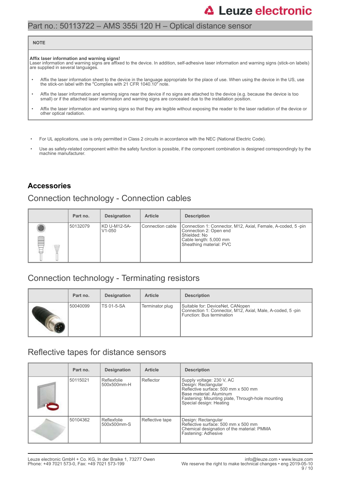### Part no.: 50113722 – AMS 355i 120 H – Optical distance sensor

#### **NOTE**

#### **Affix laser information and warning signs!**

Laser information and warning signs are affixed to the device. In addition, self-adhesive laser information and warning signs (stick-on labels) are supplied in several languages.

- Affix the laser information sheet to the device in the language appropriate for the place of use. When using the device in the US, use the stick-on label with the "Complies with 21 CFR 1040.10" note.
- Affix the laser information and warning signs near the device if no signs are attached to the device (e.g. because the device is too small) or if the attached laser information and warning signs are concealed due to the installation position.
- Affix the laser information and warning signs so that they are legible without exposing the reader to the laser radiation of the device or other optical radiation.
- For UL applications, use is only permitted in Class 2 circuits in accordance with the NEC (National Electric Code).
- Use as safety-related component within the safety function is possible, if the component combination is designed correspondingly by the machine manufacturer.

### **Accessories**

### Connection technology - Connection cables

|        | Part no. | <b>Designation</b>                  | <b>Article</b>     | <b>Description</b>                                                                                                                                         |
|--------|----------|-------------------------------------|--------------------|------------------------------------------------------------------------------------------------------------------------------------------------------------|
| ø<br>W | 50132079 | KD U-M12-5A-<br>V <sub>1</sub> -050 | l Connection cable | Connection 1: Connector, M12, Axial, Female, A-coded, 5-pin<br>Connection 2: Open end<br>Shielded: No<br>Cable length: 5,000 mm<br>Sheathing material: PVC |

### Connection technology - Terminating resistors

| Part no. | <b>Designation</b> | <b>Article</b>  | <b>Description</b>                                                                                                         |
|----------|--------------------|-----------------|----------------------------------------------------------------------------------------------------------------------------|
| 50040099 | <b>TS 01-5-SA</b>  | Terminator plug | Suitable for: DeviceNet, CANopen<br>Connection 1: Connector, M12, Axial, Male, A-coded, 5-pin<br>Function: Bus termination |

### Reflective tapes for distance sensors

| Part no. | <b>Designation</b>         | <b>Article</b>  | <b>Description</b>                                                                                                                                                                                |
|----------|----------------------------|-----------------|---------------------------------------------------------------------------------------------------------------------------------------------------------------------------------------------------|
| 50115021 | Reflexfolie<br>500x500mm-H | Reflector       | Supply voltage: 230 V, AC<br>Design: Rectangular<br>Reflective surface: 500 mm x 500 mm<br>Base material: Aluminum<br>Fastening: Mounting plate, Through-hole mounting<br>Special design: Heating |
| 50104362 | Reflexfolie<br>500x500mm-S | Reflective tape | Design: Rectangular<br>Reflective surface: 500 mm x 500 mm<br>Chemical designation of the material: PMMA<br>Fastening: Adhesive                                                                   |